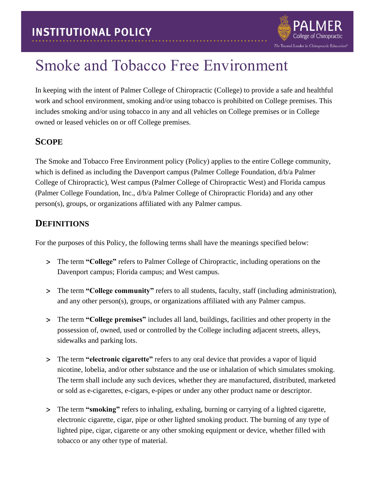

# Smoke and Tobacco Free Environment

In keeping with the intent of Palmer College of Chiropractic (College) to provide a safe and healthful work and school environment, smoking and/or using tobacco is prohibited on College premises. This includes smoking and/or using tobacco in any and all vehicles on College premises or in College owned or leased vehicles on or off College premises.

## **SCOPE**

The Smoke and Tobacco Free Environment policy (Policy) applies to the entire College community, which is defined as including the Davenport campus (Palmer College Foundation,  $d/b/a$  Palmer College of Chiropractic), West campus (Palmer College of Chiropractic West) and Florida campus (Palmer College Foundation, Inc., d/b/a Palmer College of Chiropractic Florida) and any other person(s), groups, or organizations affiliated with any Palmer campus.

## **DEFINITIONS**

For the purposes of this Policy, the following terms shall have the meanings specified below:

- The term **"College"** refers to Palmer College of Chiropractic, including operations on the Davenport campus; Florida campus; and West campus.
- The term **"College community"** refers to all students, faculty, staff (including administration), and any other person(s), groups, or organizations affiliated with any Palmer campus.
- The term **"College premises"** includes all land, buildings, facilities and other property in the possession of, owned, used or controlled by the College including adjacent streets, alleys, sidewalks and parking lots.
- The term **"electronic cigarette"** refers to any oral device that provides a vapor of liquid nicotine, lobelia, and/or other substance and the use or inhalation of which simulates smoking. The term shall include any such devices, whether they are manufactured, distributed, marketed or sold as e-cigarettes, e-cigars, e-pipes or under any other product name or descriptor.
- The term **"smoking"** refers to inhaling, exhaling, burning or carrying of a lighted cigarette, electronic cigarette, cigar, pipe or other lighted smoking product. The burning of any type of lighted pipe, cigar, cigarette or any other smoking equipment or device, whether filled with tobacco or any other type of material.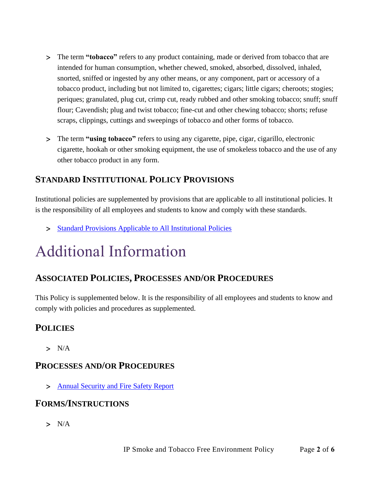- The term **"tobacco"** refers to any product containing, made or derived from tobacco that are intended for human consumption, whether chewed, smoked, absorbed, dissolved, inhaled, snorted, sniffed or ingested by any other means, or any component, part or accessory of a tobacco product, including but not limited to, cigarettes; cigars; little cigars; cheroots; stogies; periques; granulated, plug cut, crimp cut, ready rubbed and other smoking tobacco; snuff; snuff flour; Cavendish; plug and twist tobacco; fine-cut and other chewing tobacco; shorts; refuse scraps, clippings, cuttings and sweepings of tobacco and other forms of tobacco.
- The term **"using tobacco"** refers to using any cigarette, pipe, cigar, cigarillo, electronic cigarette, hookah or other smoking equipment, the use of smokeless tobacco and the use of any other tobacco product in any form.

# **STANDARD INSTITUTIONAL POLICY PROVISIONS**

Institutional policies are supplemented by provisions that are applicable to all institutional policies. It is the responsibility of all employees and students to know and comply with these standards.

> [Standard Provisions Applicable to All Institutional Policies](http://www.palmer.edu/uploadedFiles/Pages/Students/Resources_and_Offices/Handbook_and_Policies/_pdf/Standard-Provisions-Applicable-to-All-Institutional-Policies.pdf)

# Additional Information

## **ASSOCIATED POLICIES, PROCESSES AND/OR PROCEDURES**

This Policy is supplemented below. It is the responsibility of all employees and students to know and comply with policies and procedures as supplemented.

## **POLICIES**

 $> N/A$ 

## **PROCESSES AND/OR PROCEDURES**

> [Annual Security and Fire Safety Report](https://www.palmer.edu/getmedia/1fc436ff-16a4-4560-b24d-03488bdae8ce/annual-security-and-fire-safety-report.pdf)

## **FORMS/INSTRUCTIONS**

 $> N/A$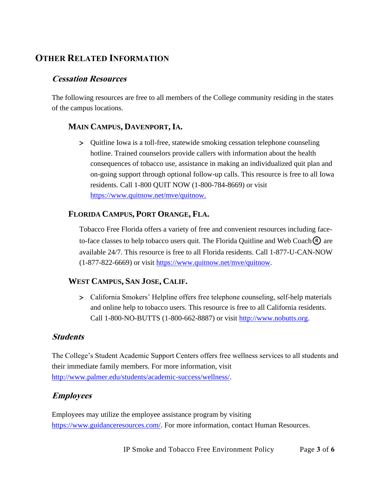# **OTHER RELATED INFORMATION**

## **Cessation Resources**

The following resources are free to all members of the College community residing in the states of the campus locations.

#### **MAIN CAMPUS, DAVENPORT, IA.**

 Quitline Iowa is a toll-free, statewide smoking cessation telephone counseling hotline. Trained counselors provide callers with information about the health consequences of tobacco use, assistance in making an individualized quit plan and on-going support through optional follow-up calls. This resource is free to all Iowa residents. Call 1-800 QUIT NOW (1-800-784-8669) or visit [https://www.quitnow.net/mve/quitnow.](https://www.quitnow.net/mve/quitnow)

#### **FLORIDA CAMPUS, PORT ORANGE, FLA.**

Tobacco Free Florida offers a variety of free and convenient resources including faceto-face classes to help tobacco users quit. The Florida Quitline and Web Coach $\overline{R}$  are available 24/7. This resource is free to all Florida residents. Call 1-877-U-CAN-NOW (1-877-822-6669) or visit [https://www.quitnow.net/mve/quitnow.](https://www.quitnow.net/mve/quitnow)

#### **WEST CAMPUS, SAN JOSE, CALIF.**

 California Smokers' Helpline offers free telephone counseling, self-help materials and online help to tobacco users. This resource is free to all California residents. Call 1-800-NO-BUTTS (1-800-662-8887) or visit [http://www.nobutts.org.](http://www.nobutts.org/)

#### **Students**

The College's Student Academic Support Centers offers free wellness services to all students and their immediate family members. For more information, visit [http://www.palmer.edu/students/academic-success/wellness/.](http://www.palmer.edu/students/academic-success/wellness/)

#### **Employees**

Employees may utilize the employee assistance program by visiting [https://www.guidanceresources.com/.](https://www.guidanceresources.com/) For more information, contact Human Resources.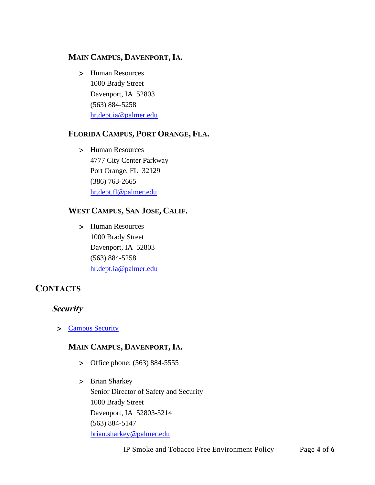#### **MAIN CAMPUS, DAVENPORT, IA.**

 Human Resources 1000 Brady Street Davenport, IA 52803 (563) 884-5258 [hr.dept.ia@palmer.edu](mailto:hr.dept.ia@palmer.edu) 

#### **FLORIDA CAMPUS, PORT ORANGE, FLA.**

> Human Resources 4777 City Center Parkway Port Orange, FL 32129 (386) 763-2665 [hr.dept.fl@palmer.edu](mailto:hr.dept.fl@palmer.edu) 

#### **WEST CAMPUS, SAN JOSE, CALIF.**

 Human Resources 1000 Brady Street Davenport, IA 52803 (563) 884-5258 [hr.dept.ia@palmer.edu](mailto:hr.dept.ia@palmer.edu)

## **CONTACTS**

#### **Security**

> [Campus Security](http://www.palmer.edu/students/resources-offices/security/)

#### **MAIN CAMPUS, DAVENPORT, IA.**

- > Office phone: (563) 884-5555
- > Brian Sharkey Senior Director of Safety and Security 1000 Brady Street Davenport, IA 52803-5214 (563) 884-5147 [brian.sharkey@palmer.edu](mailto:brian.sharkey@palmer.edu)

IP Smoke and Tobacco Free Environment Policy Page **4** of **6**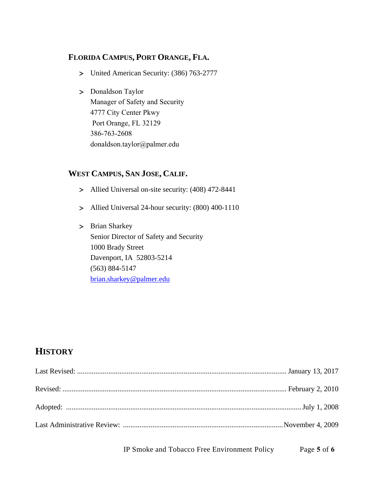#### **FLORIDA CAMPUS, PORT ORANGE, FLA.**

- United American Security: (386) 763-2777
- > Donaldson Taylor Manager of Safety and Security 4777 City Center Pkwy Port Orange, FL 32129 386-763-2608 [donaldson.taylor@palmer.e](mailto:brian.sharkey@palmer.edu)du

#### **WEST CAMPUS, SAN JOSE, CALIF.**

- Allied Universal on-site security: (408) 472-8441
- Allied Universal 24-hour security: (800) 400-1110
- > Brian Sharkey Senior Director of Safety and Security 1000 Brady Street Davenport, IA 52803-5214 (563) 884-5147 [brian.sharkey@palmer.edu](mailto:brian.sharkey@palmer.edu)

## **HISTORY**